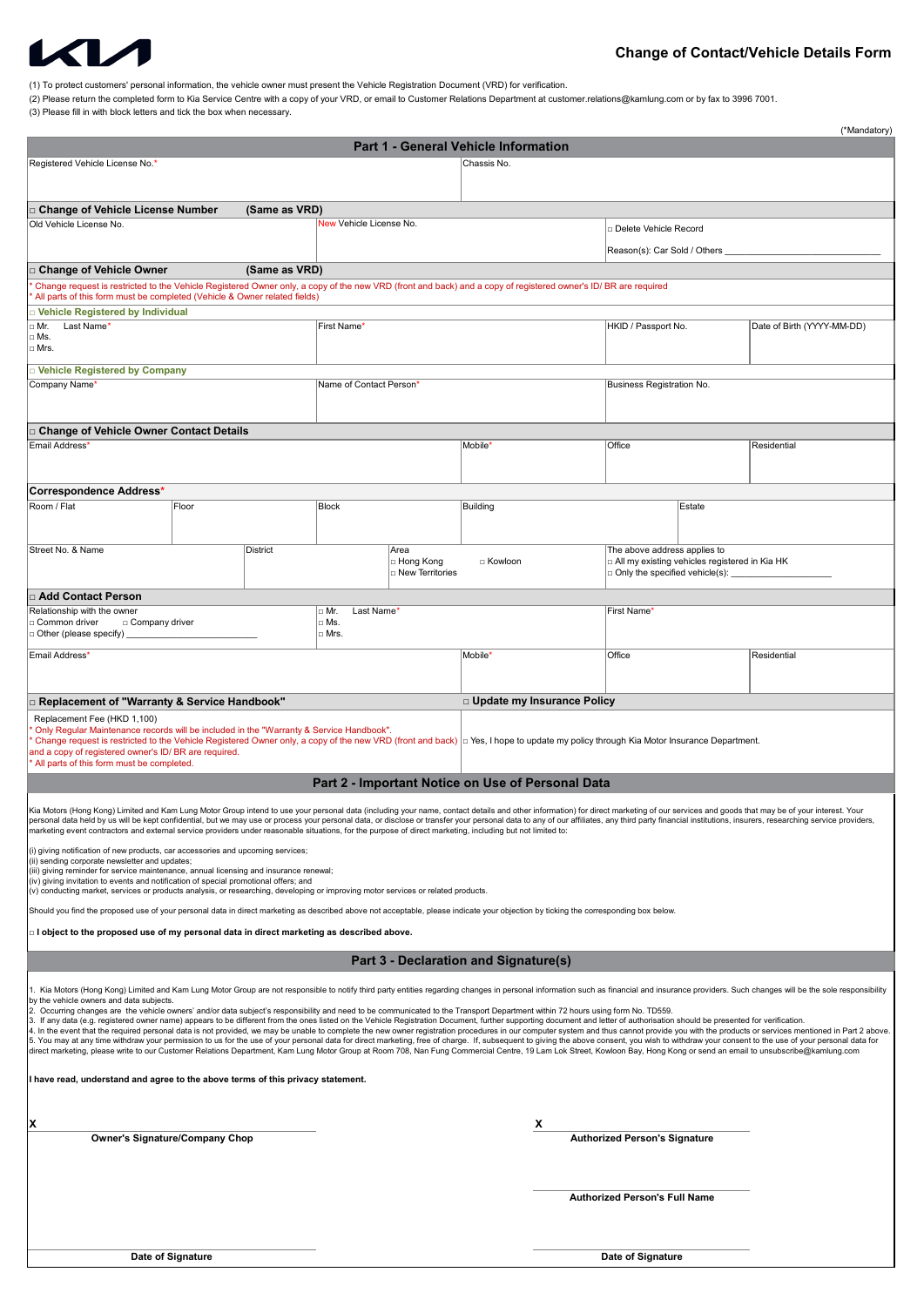

(1) To protect customers' personal information, the vehicle owner must present the Vehicle Registration Document (VRD) for verification.

(3) Please fill in with block letters and tick the box when necessary. (2) Please return the completed form to Kia Service Centre with a copy of your VRD, or email to Customer Relations Department at customer.relations@kamlung.com or by fax to 3996 7001.

| (*Mandatory)                                                                                                                                                                                                                                                                                                                                                                                                                                                     |                                                                                                                                                                                      |               |                          |                                  |                                                            |                                      |                                                      |                            |  |
|------------------------------------------------------------------------------------------------------------------------------------------------------------------------------------------------------------------------------------------------------------------------------------------------------------------------------------------------------------------------------------------------------------------------------------------------------------------|--------------------------------------------------------------------------------------------------------------------------------------------------------------------------------------|---------------|--------------------------|----------------------------------|------------------------------------------------------------|--------------------------------------|------------------------------------------------------|----------------------------|--|
| Registered Vehicle License No.*                                                                                                                                                                                                                                                                                                                                                                                                                                  |                                                                                                                                                                                      |               |                          |                                  | <b>Part 1 - General Vehicle Information</b><br>Chassis No. |                                      |                                                      |                            |  |
|                                                                                                                                                                                                                                                                                                                                                                                                                                                                  |                                                                                                                                                                                      |               |                          |                                  |                                                            |                                      |                                                      |                            |  |
|                                                                                                                                                                                                                                                                                                                                                                                                                                                                  |                                                                                                                                                                                      | (Same as VRD) |                          |                                  |                                                            |                                      |                                                      |                            |  |
| □ Change of Vehicle License Number<br>Old Vehicle License No.                                                                                                                                                                                                                                                                                                                                                                                                    |                                                                                                                                                                                      |               | New Vehicle License No.  |                                  |                                                            |                                      | □ Delete Vehicle Record                              |                            |  |
|                                                                                                                                                                                                                                                                                                                                                                                                                                                                  |                                                                                                                                                                                      |               |                          |                                  |                                                            |                                      | Reason(s): Car Sold / Others _                       |                            |  |
| □ Change of Vehicle Owner                                                                                                                                                                                                                                                                                                                                                                                                                                        | (Same as VRD)                                                                                                                                                                        |               |                          |                                  |                                                            |                                      |                                                      |                            |  |
| Change request is restricted to the Vehicle Registered Owner only, a copy of the new VRD (front and back) and a copy of registered owner's ID/ BR are required                                                                                                                                                                                                                                                                                                   |                                                                                                                                                                                      |               |                          |                                  |                                                            |                                      |                                                      |                            |  |
|                                                                                                                                                                                                                                                                                                                                                                                                                                                                  | All parts of this form must be completed (Vehicle & Owner related fields)<br><b>Vehicle Registered by Individual</b>                                                                 |               |                          |                                  |                                                            |                                      |                                                      |                            |  |
| Last Name'<br>□ Mr.<br>□ Ms.                                                                                                                                                                                                                                                                                                                                                                                                                                     |                                                                                                                                                                                      |               | First Name'              |                                  |                                                            | HKID / Passport No.                  |                                                      | Date of Birth (YYYY-MM-DD) |  |
| $\Box$ Mrs.                                                                                                                                                                                                                                                                                                                                                                                                                                                      |                                                                                                                                                                                      |               |                          |                                  |                                                            |                                      |                                                      |                            |  |
| □ Vehicle Registered by Company                                                                                                                                                                                                                                                                                                                                                                                                                                  |                                                                                                                                                                                      |               |                          |                                  |                                                            |                                      |                                                      |                            |  |
| Company Name'                                                                                                                                                                                                                                                                                                                                                                                                                                                    |                                                                                                                                                                                      |               | Name of Contact Person*  |                                  |                                                            |                                      | Business Registration No.                            |                            |  |
|                                                                                                                                                                                                                                                                                                                                                                                                                                                                  |                                                                                                                                                                                      |               |                          |                                  |                                                            |                                      |                                                      |                            |  |
| □ Change of Vehicle Owner Contact Details                                                                                                                                                                                                                                                                                                                                                                                                                        |                                                                                                                                                                                      |               |                          |                                  |                                                            | Office                               |                                                      | Residential                |  |
|                                                                                                                                                                                                                                                                                                                                                                                                                                                                  | Email Address*                                                                                                                                                                       |               |                          |                                  | Mobile'                                                    |                                      |                                                      |                            |  |
|                                                                                                                                                                                                                                                                                                                                                                                                                                                                  |                                                                                                                                                                                      |               |                          |                                  |                                                            |                                      |                                                      |                            |  |
| Correspondence Address*<br>Room / Flat                                                                                                                                                                                                                                                                                                                                                                                                                           | Floor                                                                                                                                                                                |               | <b>Block</b>             |                                  | <b>Building</b>                                            |                                      |                                                      | Estate                     |  |
|                                                                                                                                                                                                                                                                                                                                                                                                                                                                  |                                                                                                                                                                                      |               |                          |                                  |                                                            |                                      |                                                      |                            |  |
| Street No. & Name                                                                                                                                                                                                                                                                                                                                                                                                                                                |                                                                                                                                                                                      | District      |                          | Area                             |                                                            | The above address applies to         |                                                      |                            |  |
|                                                                                                                                                                                                                                                                                                                                                                                                                                                                  |                                                                                                                                                                                      |               |                          | □ Hong Kong<br>□ New Territories | □ Kowloon                                                  |                                      | $\Box$ All my existing vehicles registered in Kia HK |                            |  |
|                                                                                                                                                                                                                                                                                                                                                                                                                                                                  |                                                                                                                                                                                      |               |                          |                                  |                                                            |                                      | $\Box$ Only the specified vehicle(s): $\Box$         |                            |  |
| □ Add Contact Person<br>Relationship with the owner                                                                                                                                                                                                                                                                                                                                                                                                              |                                                                                                                                                                                      |               | $\Box$ Mr.<br>Last Name* |                                  | First Name'                                                |                                      |                                                      |                            |  |
| □ Company driver<br>□ Common driver<br>□ Other (please specify) __                                                                                                                                                                                                                                                                                                                                                                                               | $\Box$ Ms.<br>$\Box$ Mrs.                                                                                                                                                            |               |                          |                                  |                                                            |                                      |                                                      |                            |  |
| Email Address*                                                                                                                                                                                                                                                                                                                                                                                                                                                   |                                                                                                                                                                                      |               |                          |                                  | Mobile'                                                    | Office                               |                                                      | Residential                |  |
|                                                                                                                                                                                                                                                                                                                                                                                                                                                                  |                                                                                                                                                                                      |               |                          |                                  |                                                            |                                      |                                                      |                            |  |
| □ Replacement of "Warranty & Service Handbook"                                                                                                                                                                                                                                                                                                                                                                                                                   |                                                                                                                                                                                      |               |                          |                                  | □ Update my Insurance Policy                               |                                      |                                                      |                            |  |
| Replacement Fee (HKD 1,100)                                                                                                                                                                                                                                                                                                                                                                                                                                      |                                                                                                                                                                                      |               |                          |                                  |                                                            |                                      |                                                      |                            |  |
| Only Regular Maintenance records will be included in the "Warranty & Service Handbook".                                                                                                                                                                                                                                                                                                                                                                          |                                                                                                                                                                                      |               |                          |                                  |                                                            |                                      |                                                      |                            |  |
| Change request is restricted to the Vehicle Registered Owner only, a copy of the new VRD (front and back)   Yes, I hope to update my policy through Kia Motor Insurance Department.<br>and a copy of registered owner's ID/BR are required.<br>All parts of this form must be completed.                                                                                                                                                                         |                                                                                                                                                                                      |               |                          |                                  |                                                            |                                      |                                                      |                            |  |
|                                                                                                                                                                                                                                                                                                                                                                                                                                                                  |                                                                                                                                                                                      |               |                          |                                  | Part 2 - Important Notice on Use of Personal Data          |                                      |                                                      |                            |  |
| Kia Motors (Hong Kong) Limited and Kam Lung Motor Group intend to use your personal data (including your name, contact details and other information) for direct marketing of our services and goods that may be of your inter                                                                                                                                                                                                                                   |                                                                                                                                                                                      |               |                          |                                  |                                                            |                                      |                                                      |                            |  |
| personal data held by us will be kept confidential, but we may use or process your personal data, or disclose or transfer your personal data to any of our affiliates, any third party financial institutions, insurers, resea<br>marketing event contractors and external service providers under reasonable situations, for the purpose of direct marketing, including but not limited to:                                                                     |                                                                                                                                                                                      |               |                          |                                  |                                                            |                                      |                                                      |                            |  |
| (i) giving notification of new products, car accessories and upcoming services;                                                                                                                                                                                                                                                                                                                                                                                  |                                                                                                                                                                                      |               |                          |                                  |                                                            |                                      |                                                      |                            |  |
| (ii) sending corporate newsletter and updates;<br>(iii) giving reminder for service maintenance, annual licensing and insurance renewal;                                                                                                                                                                                                                                                                                                                         |                                                                                                                                                                                      |               |                          |                                  |                                                            |                                      |                                                      |                            |  |
| (iv) giving invitation to events and notification of special promotional offers; and<br>(v) conducting market, services or products analysis, or researching, developing or improving motor services or related products.                                                                                                                                                                                                                                        |                                                                                                                                                                                      |               |                          |                                  |                                                            |                                      |                                                      |                            |  |
|                                                                                                                                                                                                                                                                                                                                                                                                                                                                  | Should you find the proposed use of your personal data in direct marketing as described above not acceptable, please indicate your objection by ticking the corresponding box below. |               |                          |                                  |                                                            |                                      |                                                      |                            |  |
| $\Box$ I object to the proposed use of my personal data in direct marketing as described above.                                                                                                                                                                                                                                                                                                                                                                  |                                                                                                                                                                                      |               |                          |                                  |                                                            |                                      |                                                      |                            |  |
| Part 3 - Declaration and Signature(s)                                                                                                                                                                                                                                                                                                                                                                                                                            |                                                                                                                                                                                      |               |                          |                                  |                                                            |                                      |                                                      |                            |  |
|                                                                                                                                                                                                                                                                                                                                                                                                                                                                  |                                                                                                                                                                                      |               |                          |                                  |                                                            |                                      |                                                      |                            |  |
| 1. Kia Motors (Hong Kong) Limited and Kam Lung Motor Group are not responsible to notify third party entities regarding changes in personal information such as financial and insurance providers. Such changes will be the so<br>by the vehicle owners and data subjects.                                                                                                                                                                                       |                                                                                                                                                                                      |               |                          |                                  |                                                            |                                      |                                                      |                            |  |
| 2. Occurring changes are the vehicle owners' and/or data subject's responsibility and need to be communicated to the Transport Department within 72 hours using form No. TD559.<br>3. If any data (e.g. registered owner name) appears to be different from the ones listed on the Vehicle Registration Document, further supporting document and letter of authorisation should be presented for verification.                                                  |                                                                                                                                                                                      |               |                          |                                  |                                                            |                                      |                                                      |                            |  |
| 4. In the event that the required personal data is not provided, we may be unable to complete the new owner registration procedures in our computer system and thus cannot provide you with the products or services mentioned<br>5. You may at any time withdraw your permission to us for the use of your personal data for direct marketing, free of charge. If, subsequent to giving the above consent, you wish to withdraw your consent to the use of your |                                                                                                                                                                                      |               |                          |                                  |                                                            |                                      |                                                      |                            |  |
| direct marketing, please write to our Customer Relations Department, Kam Lung Motor Group at Room 708, Nan Fung Commercial Centre, 19 Lam Lok Street, Kowloon Bay, Hong Kong or send an email to unsubscribe@kamlung.com                                                                                                                                                                                                                                         |                                                                                                                                                                                      |               |                          |                                  |                                                            |                                      |                                                      |                            |  |
| I have read, understand and agree to the above terms of this privacy statement.                                                                                                                                                                                                                                                                                                                                                                                  |                                                                                                                                                                                      |               |                          |                                  |                                                            |                                      |                                                      |                            |  |
|                                                                                                                                                                                                                                                                                                                                                                                                                                                                  |                                                                                                                                                                                      |               |                          |                                  |                                                            |                                      |                                                      |                            |  |
| X<br>x                                                                                                                                                                                                                                                                                                                                                                                                                                                           |                                                                                                                                                                                      |               |                          |                                  |                                                            |                                      |                                                      |                            |  |
| Owner's Signature/Company Chop                                                                                                                                                                                                                                                                                                                                                                                                                                   |                                                                                                                                                                                      |               |                          |                                  |                                                            | <b>Authorized Person's Signature</b> |                                                      |                            |  |
|                                                                                                                                                                                                                                                                                                                                                                                                                                                                  |                                                                                                                                                                                      |               |                          |                                  |                                                            |                                      |                                                      |                            |  |
|                                                                                                                                                                                                                                                                                                                                                                                                                                                                  |                                                                                                                                                                                      |               |                          |                                  | <b>Authorized Person's Full Name</b>                       |                                      |                                                      |                            |  |
|                                                                                                                                                                                                                                                                                                                                                                                                                                                                  |                                                                                                                                                                                      |               |                          |                                  |                                                            |                                      |                                                      |                            |  |
|                                                                                                                                                                                                                                                                                                                                                                                                                                                                  |                                                                                                                                                                                      |               |                          |                                  |                                                            |                                      |                                                      |                            |  |
| Date of Signature                                                                                                                                                                                                                                                                                                                                                                                                                                                |                                                                                                                                                                                      |               |                          |                                  |                                                            | Date of Signature                    |                                                      |                            |  |